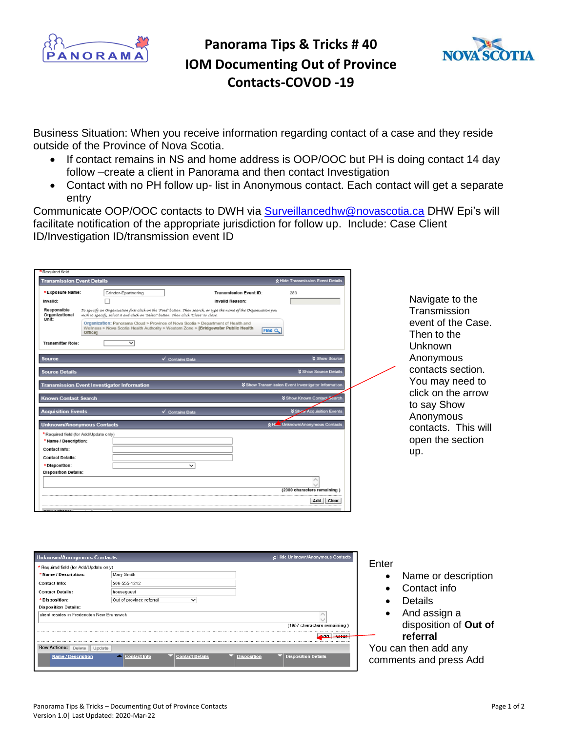

## **Panorama Tips & Tricks # 40 IOM Documenting Out of Province Contacts-COVOD -19**



Business Situation: When you receive information regarding contact of a case and they reside outside of the Province of Nova Scotia.

- If contact remains in NS and home address is OOP/OOC but PH is doing contact 14 day follow –create a client in Panorama and then contact Investigation
- Contact with no PH follow up- list in Anonymous contact. Each contact will get a separate entry

Communicate OOP/OOC contacts to DWH via [Surveillancedhw@novascotia.ca](mailto:Surveillancedhw@novascotia.ca) DHW Epi's will facilitate notification of the appropriate jurisdiction for follow up. Include: Case Client ID/Investigation ID/transmission event ID

| <b>Transmission Event Details</b>             |                                                                                       |                                                                                                                                                                          |        | ☆ Hide Transmission Event Details                |                                   |
|-----------------------------------------------|---------------------------------------------------------------------------------------|--------------------------------------------------------------------------------------------------------------------------------------------------------------------------|--------|--------------------------------------------------|-----------------------------------|
| *Exposure Name:                               | Grinder-Epartnering                                                                   | <b>Transmission Event ID:</b>                                                                                                                                            |        | 283                                              |                                   |
| Invalid:                                      | П                                                                                     | Invalld Reason:                                                                                                                                                          |        |                                                  | Navigate to the                   |
| Responsible<br>Organizational<br><b>Unit:</b> | wish to specify, select it and click on 'Select' button. Then click 'Close' to close. | To specify an Organization first click on the 'Find' button. Then search, or type the name of the Organization you                                                       |        |                                                  | Transmission                      |
|                                               | Office]                                                                               | Organization: Panorama Cloud > Province of Nova Scotia > Department of Health and<br>Wellness > Nova Scotia Health Authority > Western Zone > [Bridgewater Public Health | Find Q |                                                  | event of the Case.<br>Then to the |
| <b>Transmitter Role:</b>                      | ▽                                                                                     |                                                                                                                                                                          |        |                                                  | Unknown                           |
| Source                                        |                                                                                       | √ Contains Data                                                                                                                                                          |        | <b>&amp; Show Source</b>                         | Anonymous                         |
| <b>Source Details</b>                         |                                                                                       |                                                                                                                                                                          |        | <b>X Show Source Details</b>                     | contacts section.                 |
|                                               | <b>Transmission Event Investigator Information</b>                                    |                                                                                                                                                                          |        | Show Transmission Event Investigator Information | You may need to                   |
| Known Contact Search                          |                                                                                       |                                                                                                                                                                          |        | Show Known Contact Search                        | click on the arrow<br>to say Show |
| <b>Acquisition Events</b>                     |                                                                                       | $\checkmark$ Contains Data                                                                                                                                               |        | Show Acquisition Events                          | Anonymous                         |
|                                               | <b>Unknown/Anonymous Contacts</b>                                                     |                                                                                                                                                                          | 交比     | Unknown/Anonymous Contacts                       | contacts. This will               |
| *Required field (for Add/Update only)         |                                                                                       |                                                                                                                                                                          |        |                                                  | open the section                  |
| * Name / Description:<br>Contact Info:        |                                                                                       |                                                                                                                                                                          |        |                                                  |                                   |
| <b>Contact Details:</b>                       |                                                                                       |                                                                                                                                                                          |        |                                                  | up.                               |
| *Disposition:                                 |                                                                                       | $\checkmark$                                                                                                                                                             |        |                                                  |                                   |
| <b>Disposition Details:</b>                   |                                                                                       |                                                                                                                                                                          |        |                                                  |                                   |
|                                               |                                                                                       |                                                                                                                                                                          |        | (2000 characters remaining)                      |                                   |
|                                               |                                                                                       |                                                                                                                                                                          |        | Add Clear                                        |                                   |
|                                               |                                                                                       |                                                                                                                                                                          |        |                                                  |                                   |

| Enter<br>* Required field (for Add/Update only)<br>Mary Smith<br>* Name / Description:<br>Name or description<br>506-555-1212<br><b>Contact Info:</b><br>Contact info<br><b>Contact Details:</b><br>housequest<br><b>Details</b><br>Out of province referral<br>* Disposition:<br><b>Disposition Details:</b><br>And assign a<br>client resides in Fredericton New Brunswick<br>disposition of Out of<br>(1957 characters remaining)<br>referral<br>Add Clear | <b>Unknown/Anonymous Contacts</b> | ☆ Hide Unknown/Anonymous Contacts |  |
|---------------------------------------------------------------------------------------------------------------------------------------------------------------------------------------------------------------------------------------------------------------------------------------------------------------------------------------------------------------------------------------------------------------------------------------------------------------|-----------------------------------|-----------------------------------|--|
|                                                                                                                                                                                                                                                                                                                                                                                                                                                               |                                   |                                   |  |
|                                                                                                                                                                                                                                                                                                                                                                                                                                                               |                                   |                                   |  |
|                                                                                                                                                                                                                                                                                                                                                                                                                                                               |                                   |                                   |  |
|                                                                                                                                                                                                                                                                                                                                                                                                                                                               |                                   |                                   |  |
|                                                                                                                                                                                                                                                                                                                                                                                                                                                               |                                   |                                   |  |
|                                                                                                                                                                                                                                                                                                                                                                                                                                                               |                                   |                                   |  |
|                                                                                                                                                                                                                                                                                                                                                                                                                                                               |                                   |                                   |  |
|                                                                                                                                                                                                                                                                                                                                                                                                                                                               |                                   |                                   |  |
|                                                                                                                                                                                                                                                                                                                                                                                                                                                               |                                   |                                   |  |
| You can then add any<br><b>Row Actions: Delete</b><br>Update                                                                                                                                                                                                                                                                                                                                                                                                  |                                   |                                   |  |
| ▼ Disposition Details<br><b>Name / Description</b><br>▼ Contact Details<br>Contact Info<br>▼ Disposition<br>comments and press Add                                                                                                                                                                                                                                                                                                                            |                                   |                                   |  |